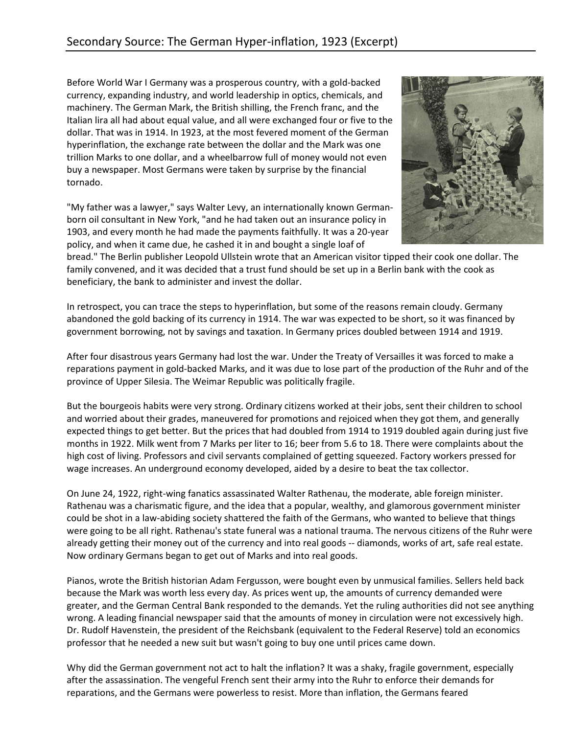Before World War I Germany was a prosperous country, with a gold-backed currency, expanding industry, and world leadership in optics, chemicals, and machinery. The German Mark, the British shilling, the French franc, and the Italian lira all had about equal value, and all were exchanged four or five to the dollar. That was in 1914. In 1923, at the most fevered moment of the German hyperinflation, the exchange rate between the dollar and the Mark was one trillion Marks to one dollar, and a wheelbarrow full of money would not even buy a newspaper. Most Germans were taken by surprise by the financial tornado.

"My father was a lawyer," says Walter Levy, an internationally known Germanborn oil consultant in New York, "and he had taken out an insurance policy in 1903, and every month he had made the payments faithfully. It was a 20-year policy, and when it came due, he cashed it in and bought a single loaf of



bread." The Berlin publisher Leopold Ullstein wrote that an American visitor tipped their cook one dollar. The family convened, and it was decided that a trust fund should be set up in a Berlin bank with the cook as beneficiary, the bank to administer and invest the dollar.

In retrospect, you can trace the steps to hyperinflation, but some of the reasons remain cloudy. Germany abandoned the gold backing of its currency in 1914. The war was expected to be short, so it was financed by government borrowing, not by savings and taxation. In Germany prices doubled between 1914 and 1919.

After four disastrous years Germany had lost the war. Under the Treaty of Versailles it was forced to make a reparations payment in gold-backed Marks, and it was due to lose part of the production of the Ruhr and of the province of Upper Silesia. The Weimar Republic was politically fragile.

But the bourgeois habits were very strong. Ordinary citizens worked at their jobs, sent their children to school and worried about their grades, maneuvered for promotions and rejoiced when they got them, and generally expected things to get better. But the prices that had doubled from 1914 to 1919 doubled again during just five months in 1922. Milk went from 7 Marks per liter to 16; beer from 5.6 to 18. There were complaints about the high cost of living. Professors and civil servants complained of getting squeezed. Factory workers pressed for wage increases. An underground economy developed, aided by a desire to beat the tax collector.

On June 24, 1922, right-wing fanatics assassinated Walter Rathenau, the moderate, able foreign minister. Rathenau was a charismatic figure, and the idea that a popular, wealthy, and glamorous government minister could be shot in a law-abiding society shattered the faith of the Germans, who wanted to believe that things were going to be all right. Rathenau's state funeral was a national trauma. The nervous citizens of the Ruhr were already getting their money out of the currency and into real goods -- diamonds, works of art, safe real estate. Now ordinary Germans began to get out of Marks and into real goods.

Pianos, wrote the British historian Adam Fergusson, were bought even by unmusical families. Sellers held back because the Mark was worth less every day. As prices went up, the amounts of currency demanded were greater, and the German Central Bank responded to the demands. Yet the ruling authorities did not see anything wrong. A leading financial newspaper said that the amounts of money in circulation were not excessively high. Dr. Rudolf Havenstein, the president of the Reichsbank (equivalent to the Federal Reserve) told an economics professor that he needed a new suit but wasn't going to buy one until prices came down.

Why did the German government not act to halt the inflation? It was a shaky, fragile government, especially after the assassination. The vengeful French sent their army into the Ruhr to enforce their demands for reparations, and the Germans were powerless to resist. More than inflation, the Germans feared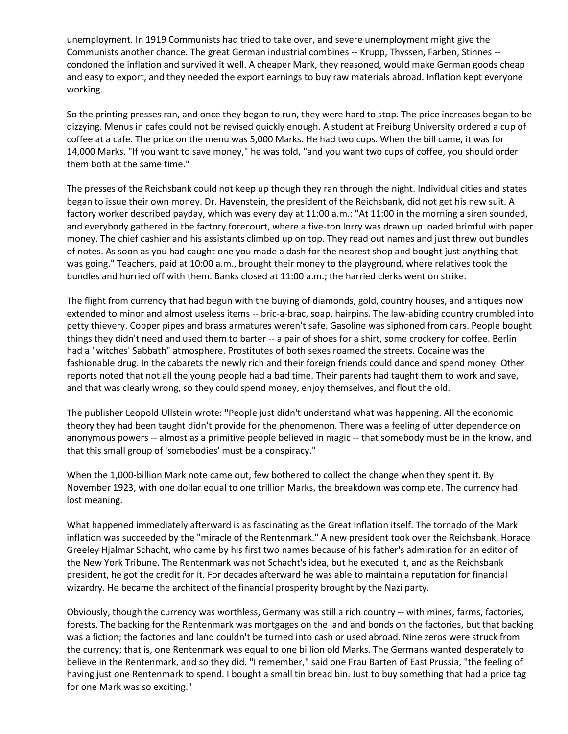unemployment. In 1919 Communists had tried to take over, and severe unemployment might give the Communists another chance. The great German industrial combines -- Krupp, Thyssen, Farben, Stinnes - condoned the inflation and survived it well. A cheaper Mark, they reasoned, would make German goods cheap and easy to export, and they needed the export earnings to buy raw materials abroad. Inflation kept everyone working.

So the printing presses ran, and once they began to run, they were hard to stop. The price increases began to be dizzying. Menus in cafes could not be revised quickly enough. A student at Freiburg University ordered a cup of coffee at a cafe. The price on the menu was 5,000 Marks. He had two cups. When the bill came, it was for 14,000 Marks. "If you want to save money," he was told, "and you want two cups of coffee, you should order them both at the same time."

The presses of the Reichsbank could not keep up though they ran through the night. Individual cities and states began to issue their own money. Dr. Havenstein, the president of the Reichsbank, did not get his new suit. A factory worker described payday, which was every day at 11:00 a.m.: "At 11:00 in the morning a siren sounded, and everybody gathered in the factory forecourt, where a five-ton lorry was drawn up loaded brimful with paper money. The chief cashier and his assistants climbed up on top. They read out names and just threw out bundles of notes. As soon as you had caught one you made a dash for the nearest shop and bought just anything that was going." Teachers, paid at 10:00 a.m., brought their money to the playground, where relatives took the bundles and hurried off with them. Banks closed at 11:00 a.m.; the harried clerks went on strike.

The flight from currency that had begun with the buying of diamonds, gold, country houses, and antiques now extended to minor and almost useless items -- bric-a-brac, soap, hairpins. The law-abiding country crumbled into petty thievery. Copper pipes and brass armatures weren't safe. Gasoline was siphoned from cars. People bought things they didn't need and used them to barter -- a pair of shoes for a shirt, some crockery for coffee. Berlin had a "witches' Sabbath" atmosphere. Prostitutes of both sexes roamed the streets. Cocaine was the fashionable drug. In the cabarets the newly rich and their foreign friends could dance and spend money. Other reports noted that not all the young people had a bad time. Their parents had taught them to work and save, and that was clearly wrong, so they could spend money, enjoy themselves, and flout the old.

The publisher Leopold Ullstein wrote: "People just didn't understand what was happening. All the economic theory they had been taught didn't provide for the phenomenon. There was a feeling of utter dependence on anonymous powers -- almost as a primitive people believed in magic -- that somebody must be in the know, and that this small group of 'somebodies' must be a conspiracy."

When the 1,000-billion Mark note came out, few bothered to collect the change when they spent it. By November 1923, with one dollar equal to one trillion Marks, the breakdown was complete. The currency had lost meaning.

What happened immediately afterward is as fascinating as the Great Inflation itself. The tornado of the Mark inflation was succeeded by the "miracle of the Rentenmark." A new president took over the Reichsbank, Horace Greeley Hjalmar Schacht, who came by his first two names because of his father's admiration for an editor of the New York Tribune. The Rentenmark was not Schacht's idea, but he executed it, and as the Reichsbank president, he got the credit for it. For decades afterward he was able to maintain a reputation for financial wizardry. He became the architect of the financial prosperity brought by the Nazi party.

Obviously, though the currency was worthless, Germany was still a rich country -- with mines, farms, factories, forests. The backing for the Rentenmark was mortgages on the land and bonds on the factories, but that backing was a fiction; the factories and land couldn't be turned into cash or used abroad. Nine zeros were struck from the currency; that is, one Rentenmark was equal to one billion old Marks. The Germans wanted desperately to believe in the Rentenmark, and so they did. "I remember," said one Frau Barten of East Prussia, "the feeling of having just one Rentenmark to spend. I bought a small tin bread bin. Just to buy something that had a price tag for one Mark was so exciting."